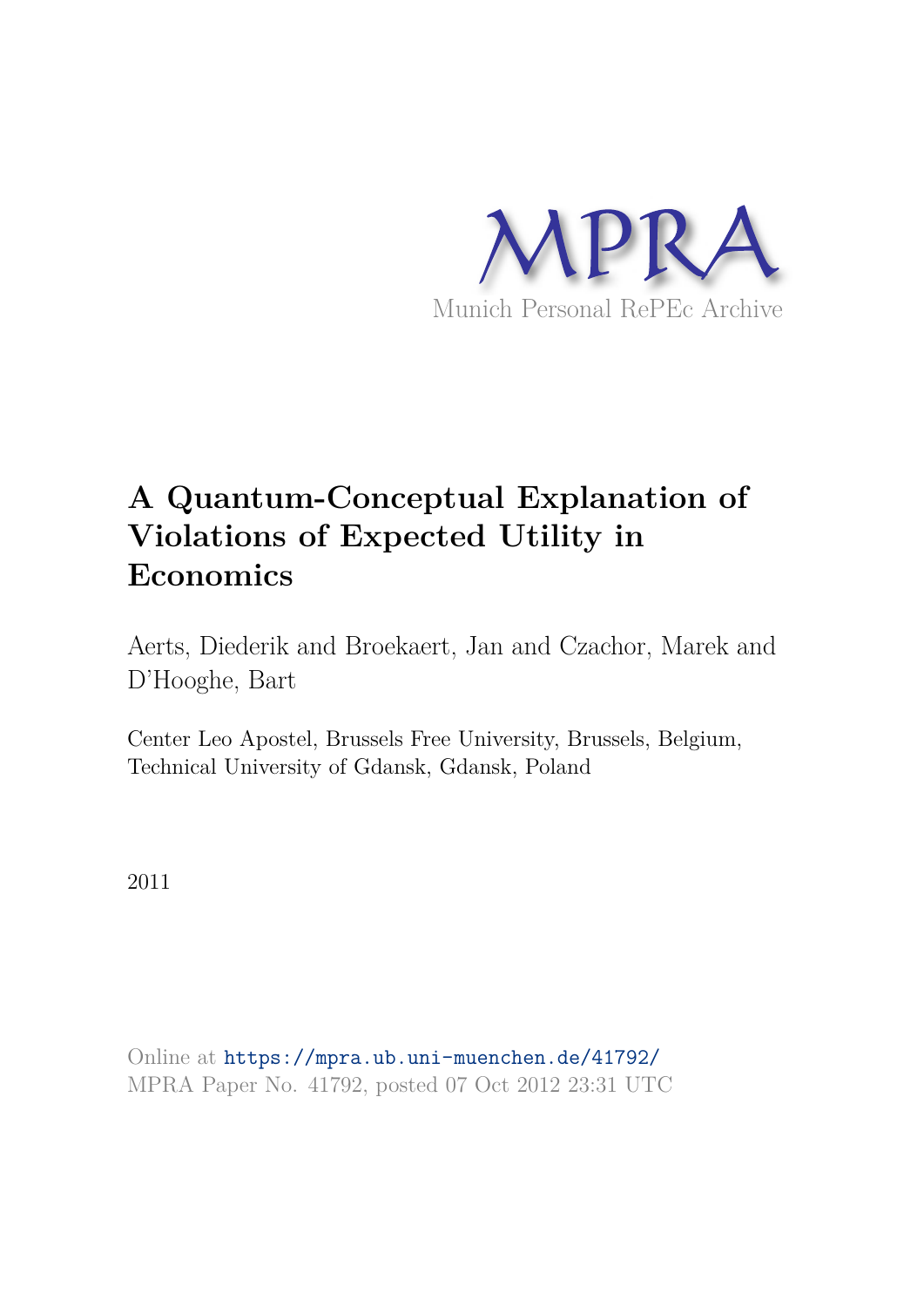

# **A Quantum-Conceptual Explanation of Violations of Expected Utility in Economics**

Aerts, Diederik and Broekaert, Jan and Czachor, Marek and D'Hooghe, Bart

Center Leo Apostel, Brussels Free University, Brussels, Belgium, Technical University of Gdansk, Gdansk, Poland

2011

Online at https://mpra.ub.uni-muenchen.de/41792/ MPRA Paper No. 41792, posted 07 Oct 2012 23:31 UTC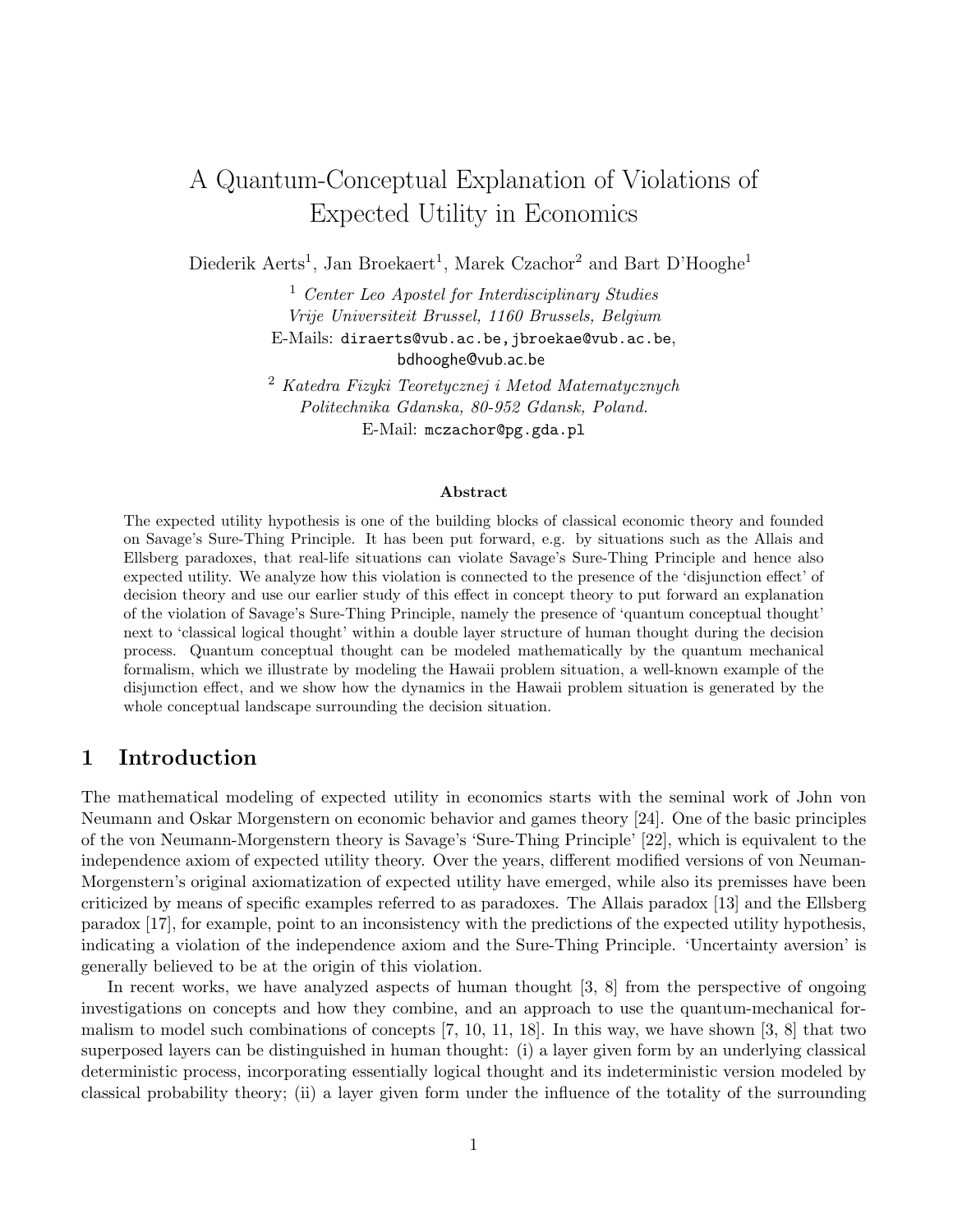## A Quantum-Conceptual Explanation of Violations of Expected Utility in Economics

Diederik Aerts<sup>1</sup>, Jan Broekaert<sup>1</sup>, Marek Czachor<sup>2</sup> and Bart D'Hooghe<sup>1</sup>

<sup>1</sup> *Center Leo Apostel for Interdisciplinary Studies Vrije Universiteit Brussel, 1160 Brussels, Belgium* E-Mails: diraerts@vub.ac.be,jbroekae@vub.ac.be, bdhooghe@vub.ac.be

<sup>2</sup> *Katedra Fizyki Teoretycznej i Metod Matematycznych Politechnika Gdanska, 80-952 Gdansk, Poland.* E-Mail: mczachor@pg.gda.pl

#### Abstract

The expected utility hypothesis is one of the building blocks of classical economic theory and founded on Savage's Sure-Thing Principle. It has been put forward, e.g. by situations such as the Allais and Ellsberg paradoxes, that real-life situations can violate Savage's Sure-Thing Principle and hence also expected utility. We analyze how this violation is connected to the presence of the 'disjunction effect' of decision theory and use our earlier study of this effect in concept theory to put forward an explanation of the violation of Savage's Sure-Thing Principle, namely the presence of 'quantum conceptual thought' next to 'classical logical thought' within a double layer structure of human thought during the decision process. Quantum conceptual thought can be modeled mathematically by the quantum mechanical formalism, which we illustrate by modeling the Hawaii problem situation, a well-known example of the disjunction effect, and we show how the dynamics in the Hawaii problem situation is generated by the whole conceptual landscape surrounding the decision situation.

#### 1 Introduction

The mathematical modeling of expected utility in economics starts with the seminal work of John von Neumann and Oskar Morgenstern on economic behavior and games theory [24]. One of the basic principles of the von Neumann-Morgenstern theory is Savage's 'Sure-Thing Principle' [22], which is equivalent to the independence axiom of expected utility theory. Over the years, different modified versions of von Neuman-Morgenstern's original axiomatization of expected utility have emerged, while also its premisses have been criticized by means of specific examples referred to as paradoxes. The Allais paradox [13] and the Ellsberg paradox [17], for example, point to an inconsistency with the predictions of the expected utility hypothesis, indicating a violation of the independence axiom and the Sure-Thing Principle. 'Uncertainty aversion' is generally believed to be at the origin of this violation.

In recent works, we have analyzed aspects of human thought [3, 8] from the perspective of ongoing investigations on concepts and how they combine, and an approach to use the quantum-mechanical formalism to model such combinations of concepts  $[7, 10, 11, 18]$ . In this way, we have shown  $[3, 8]$  that two superposed layers can be distinguished in human thought: (i) a layer given form by an underlying classical deterministic process, incorporating essentially logical thought and its indeterministic version modeled by classical probability theory; (ii) a layer given form under the influence of the totality of the surrounding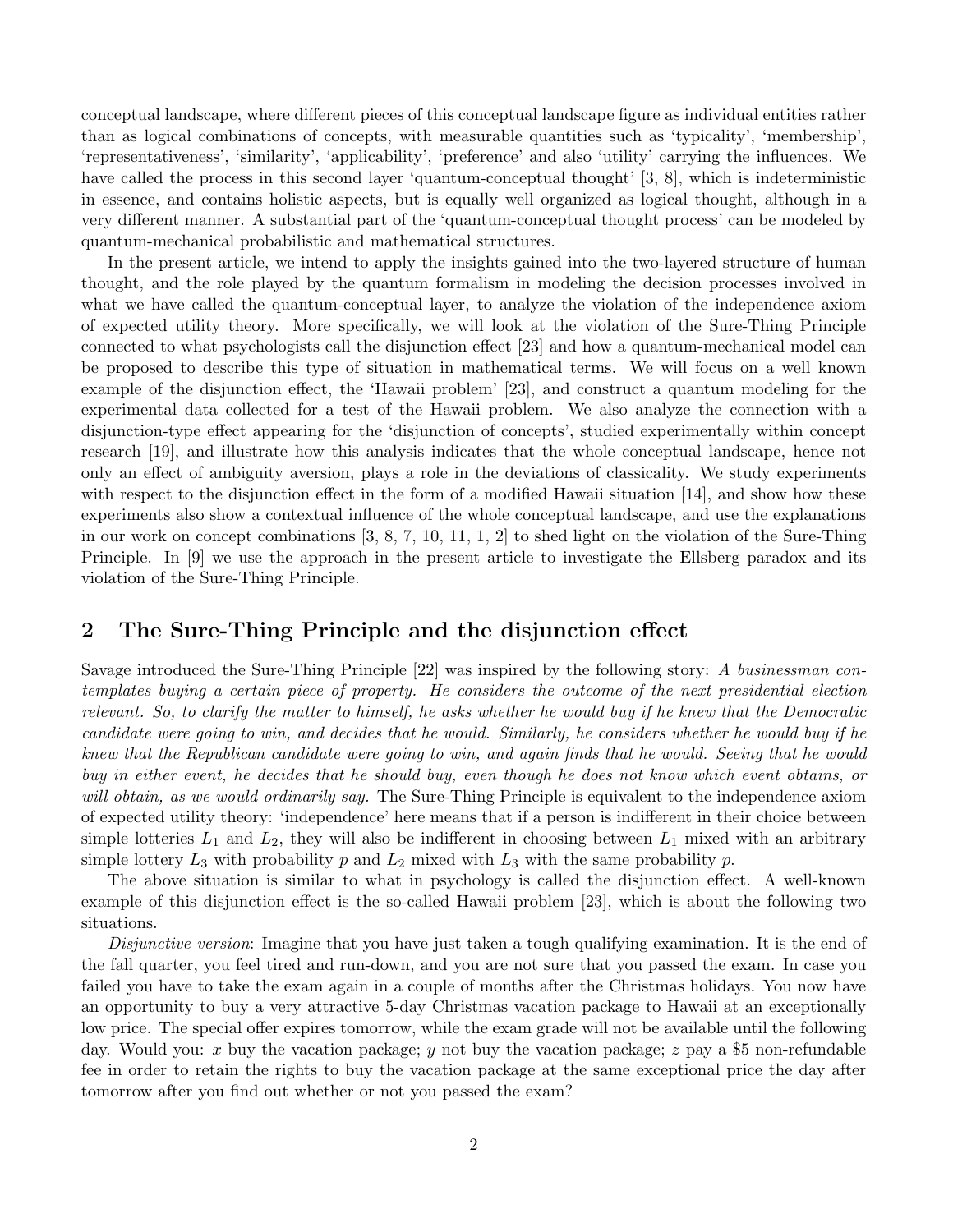conceptual landscape, where different pieces of this conceptual landscape figure as individual entities rather than as logical combinations of concepts, with measurable quantities such as 'typicality', 'membership', 'representativeness', 'similarity', 'applicability', 'preference' and also 'utility' carrying the influences. We have called the process in this second layer 'quantum-conceptual thought' [3, 8], which is indeterministic in essence, and contains holistic aspects, but is equally well organized as logical thought, although in a very different manner. A substantial part of the 'quantum-conceptual thought process' can be modeled by quantum-mechanical probabilistic and mathematical structures.

In the present article, we intend to apply the insights gained into the two-layered structure of human thought, and the role played by the quantum formalism in modeling the decision processes involved in what we have called the quantum-conceptual layer, to analyze the violation of the independence axiom of expected utility theory. More specifically, we will look at the violation of the Sure-Thing Principle connected to what psychologists call the disjunction effect [23] and how a quantum-mechanical model can be proposed to describe this type of situation in mathematical terms. We will focus on a well known example of the disjunction effect, the 'Hawaii problem' [23], and construct a quantum modeling for the experimental data collected for a test of the Hawaii problem. We also analyze the connection with a disjunction-type effect appearing for the 'disjunction of concepts', studied experimentally within concept research [19], and illustrate how this analysis indicates that the whole conceptual landscape, hence not only an effect of ambiguity aversion, plays a role in the deviations of classicality. We study experiments with respect to the disjunction effect in the form of a modified Hawaii situation [14], and show how these experiments also show a contextual influence of the whole conceptual landscape, and use the explanations in our work on concept combinations [3, 8, 7, 10, 11, 1, 2] to shed light on the violation of the Sure-Thing Principle. In [9] we use the approach in the present article to investigate the Ellsberg paradox and its violation of the Sure-Thing Principle.

#### 2 The Sure-Thing Principle and the disjunction effect

Savage introduced the Sure-Thing Principle [22] was inspired by the following story: *A businessman contemplates buying a certain piece of property. He considers the outcome of the next presidential election relevant. So, to clarify the matter to himself, he asks whether he would buy if he knew that the Democratic candidate were going to win, and decides that he would. Similarly, he considers whether he would buy if he knew that the Republican candidate were going to win, and again finds that he would. Seeing that he would buy in either event, he decides that he should buy, even though he does not know which event obtains, or will obtain, as we would ordinarily say.* The Sure-Thing Principle is equivalent to the independence axiom of expected utility theory: 'independence' here means that if a person is indifferent in their choice between simple lotteries  $L_1$  and  $L_2$ , they will also be indifferent in choosing between  $L_1$  mixed with an arbitrary simple lottery  $L_3$  with probability p and  $L_2$  mixed with  $L_3$  with the same probability p.

The above situation is similar to what in psychology is called the disjunction effect. A well-known example of this disjunction effect is the so-called Hawaii problem [23], which is about the following two situations.

*Disjunctive version*: Imagine that you have just taken a tough qualifying examination. It is the end of the fall quarter, you feel tired and run-down, and you are not sure that you passed the exam. In case you failed you have to take the exam again in a couple of months after the Christmas holidays. You now have an opportunity to buy a very attractive 5-day Christmas vacation package to Hawaii at an exceptionally low price. The special offer expires tomorrow, while the exam grade will not be available until the following day. Would you: x buy the vacation package; y not buy the vacation package; z pay a \$5 non-refundable fee in order to retain the rights to buy the vacation package at the same exceptional price the day after tomorrow after you find out whether or not you passed the exam?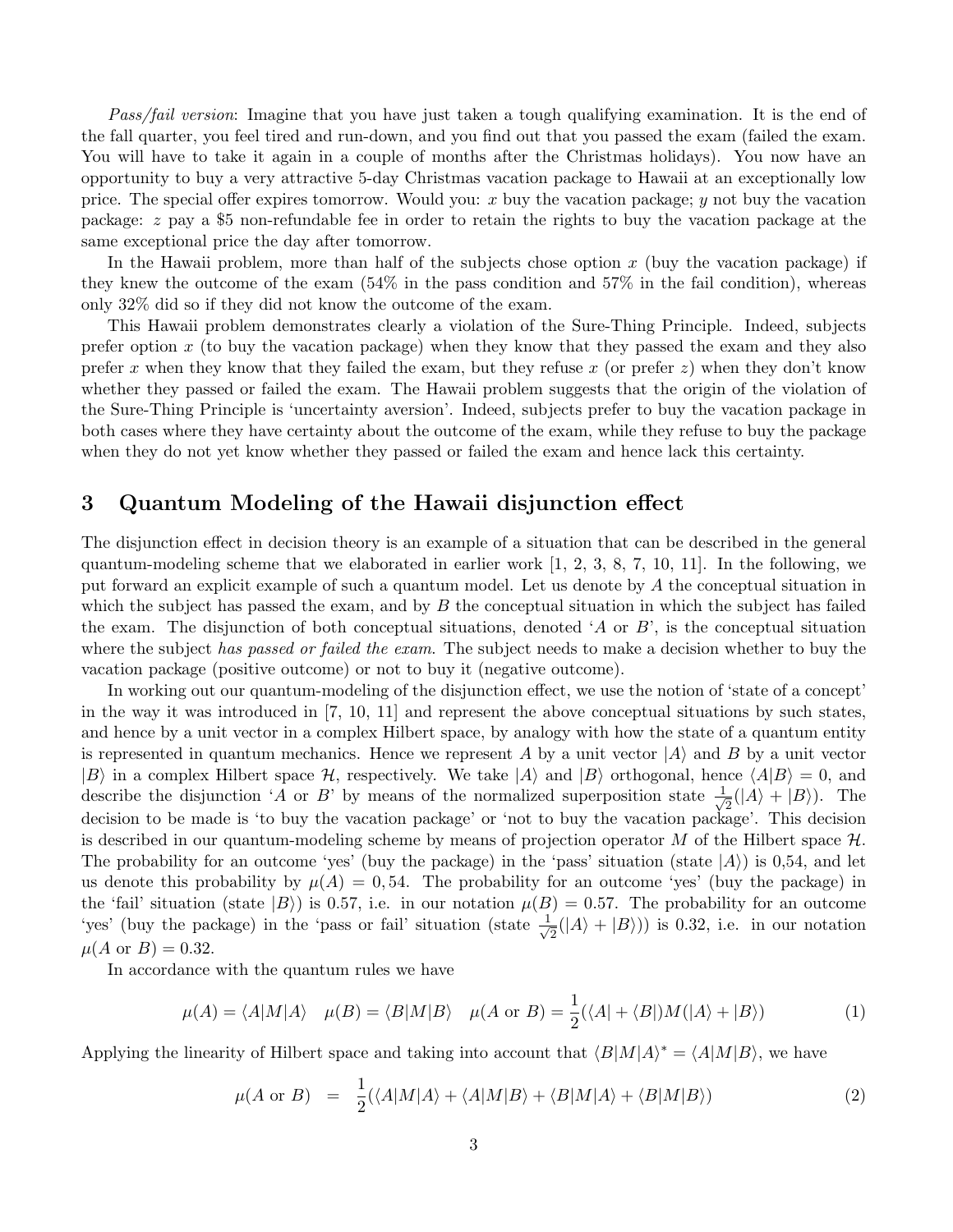*Pass/fail version*: Imagine that you have just taken a tough qualifying examination. It is the end of the fall quarter, you feel tired and run-down, and you find out that you passed the exam (failed the exam. You will have to take it again in a couple of months after the Christmas holidays). You now have an opportunity to buy a very attractive 5-day Christmas vacation package to Hawaii at an exceptionally low price. The special offer expires tomorrow. Would you:  $x$  buy the vacation package;  $y$  not buy the vacation package: z pay a \$5 non-refundable fee in order to retain the rights to buy the vacation package at the same exceptional price the day after tomorrow.

In the Hawaii problem, more than half of the subjects chose option  $x$  (buy the vacation package) if they knew the outcome of the exam  $(54\%$  in the pass condition and  $57\%$  in the fail condition), whereas only 32% did so if they did not know the outcome of the exam.

This Hawaii problem demonstrates clearly a violation of the Sure-Thing Principle. Indeed, subjects prefer option  $x$  (to buy the vacation package) when they know that they passed the exam and they also prefer x when they know that they failed the exam, but they refuse x (or prefer  $z$ ) when they don't know whether they passed or failed the exam. The Hawaii problem suggests that the origin of the violation of the Sure-Thing Principle is 'uncertainty aversion'. Indeed, subjects prefer to buy the vacation package in both cases where they have certainty about the outcome of the exam, while they refuse to buy the package when they do not yet know whether they passed or failed the exam and hence lack this certainty.

#### 3 Quantum Modeling of the Hawaii disjunction effect

The disjunction effect in decision theory is an example of a situation that can be described in the general quantum-modeling scheme that we elaborated in earlier work [1, 2, 3, 8, 7, 10, 11]. In the following, we put forward an explicit example of such a quantum model. Let us denote by A the conceptual situation in which the subject has passed the exam, and by  $B$  the conceptual situation in which the subject has failed the exam. The disjunction of both conceptual situations, denoted 'A or  $B$ ', is the conceptual situation where the subject *has passed or failed the exam*. The subject needs to make a decision whether to buy the vacation package (positive outcome) or not to buy it (negative outcome).

In working out our quantum-modeling of the disjunction effect, we use the notion of 'state of a concept' in the way it was introduced in [7, 10, 11] and represent the above conceptual situations by such states, and hence by a unit vector in a complex Hilbert space, by analogy with how the state of a quantum entity is represented in quantum mechanics. Hence we represent A by a unit vector  $|A\rangle$  and B by a unit vector  $|B\rangle$  in a complex Hilbert space H, respectively. We take  $|A\rangle$  and  $|B\rangle$  orthogonal, hence  $\langle A|B\rangle = 0$ , and describe the disjunction 'A or B' by means of the normalized superposition state  $\frac{1}{\sqrt{2}}$  $\frac{1}{2}(|A\rangle + |B\rangle)$ . The decision to be made is 'to buy the vacation package' or 'not to buy the vacation package'. This decision is described in our quantum-modeling scheme by means of projection operator M of the Hilbert space  $\mathcal{H}$ . The probability for an outcome 'yes' (buy the package) in the 'pass' situation (state  $|A\rangle$ ) is 0,54, and let us denote this probability by  $\mu(A) = 0.54$ . The probability for an outcome 'yes' (buy the package) in the 'fail' situation (state  $|B\rangle$ ) is 0.57, i.e. in our notation  $\mu(B) = 0.57$ . The probability for an outcome 'yes' (buy the package) in the 'pass or fail' situation (state  $\frac{1}{\sqrt{2}}$  $\frac{1}{2}(|A\rangle + |B\rangle)$ ) is 0.32, i.e. in our notation  $\mu(A \text{ or } B) = 0.32.$ 

In accordance with the quantum rules we have

$$
\mu(A) = \langle A|M|A\rangle \quad \mu(B) = \langle B|M|B\rangle \quad \mu(A \text{ or } B) = \frac{1}{2}(\langle A| + \langle B|)M(|A\rangle + |B\rangle) \tag{1}
$$

Applying the linearity of Hilbert space and taking into account that  $\langle B|M|A\rangle^* = \langle A|M|B\rangle$ , we have

$$
\mu(A \text{ or } B) = \frac{1}{2} (\langle A|M|A\rangle + \langle A|M|B\rangle + \langle B|M|A\rangle + \langle B|M|B\rangle)
$$
\n(2)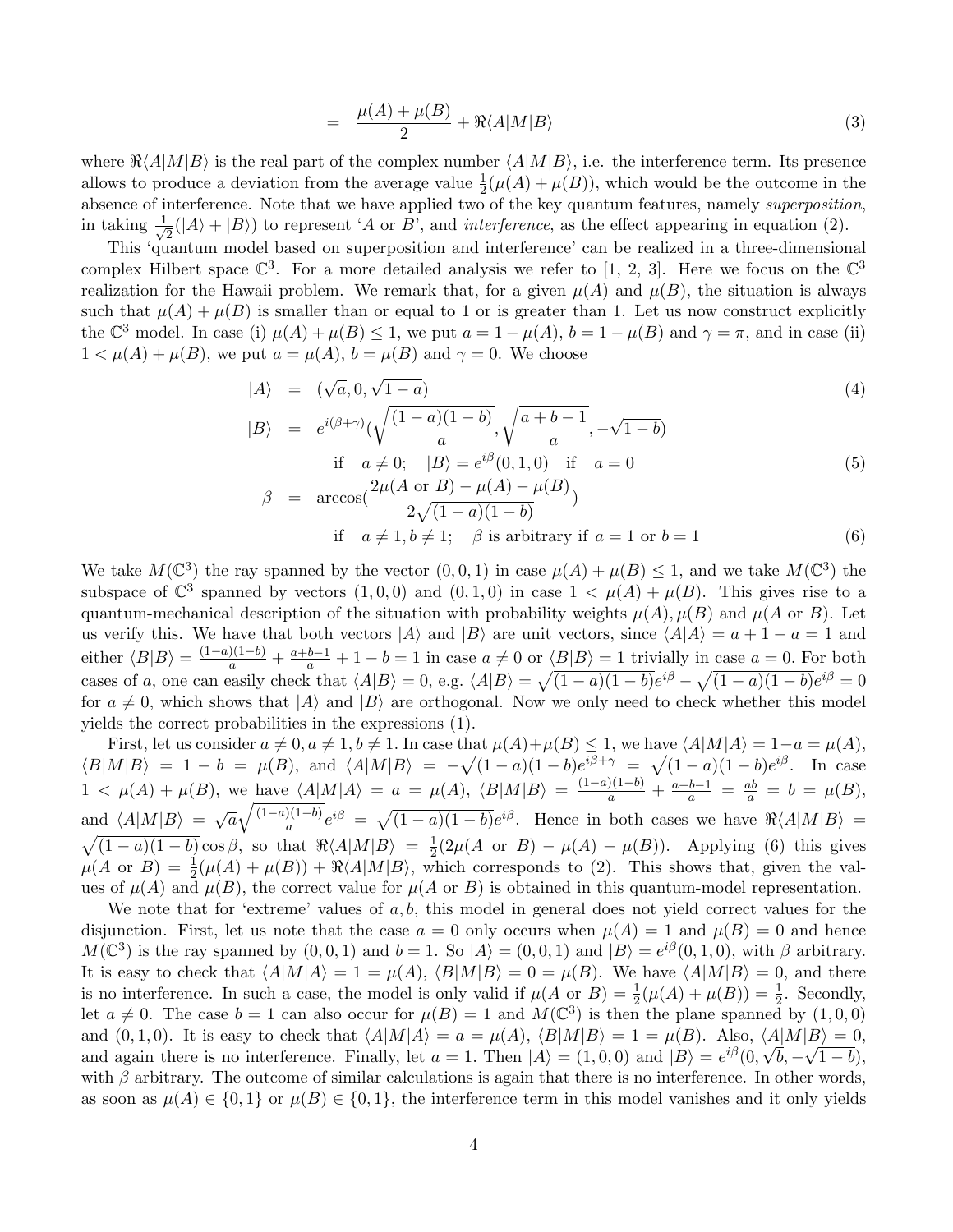$$
= \frac{\mu(A) + \mu(B)}{2} + \Re \langle A|M|B\rangle \tag{3}
$$

where  $\Re\langle A|M|B\rangle$  is the real part of the complex number  $\langle A|M|B\rangle$ , i.e. the interference term. Its presence allows to produce a deviation from the average value  $\frac{1}{2}(\mu(A) + \mu(B))$ , which would be the outcome in the absence of interference. Note that we have applied two of the key quantum features, namely *superposition*, in taking  $\frac{1}{\sqrt{2}}(|A\rangle + |B\rangle)$  to represent 'A or B', and *interference*, as the effect appearing in equation (2).

This 'quantum model based on superposition and interference' can be realized in a three-dimensional complex Hilbert space  $\mathbb{C}^3$ . For a more detailed analysis we refer to [1, 2, 3]. Here we focus on the  $\mathbb{C}^3$ realization for the Hawaii problem. We remark that, for a given  $\mu(A)$  and  $\mu(B)$ , the situation is always such that  $\mu(A) + \mu(B)$  is smaller than or equal to 1 or is greater than 1. Let us now construct explicitly the  $\mathbb{C}^3$  model. In case (i)  $\mu(A) + \mu(B) \le 1$ , we put  $a = 1 - \mu(A)$ ,  $b = 1 - \mu(B)$  and  $\gamma = \pi$ , and in case (ii)  $1 < \mu(A) + \mu(B)$ , we put  $a = \mu(A)$ ,  $b = \mu(B)$  and  $\gamma = 0$ . We choose

$$
|A\rangle = (\sqrt{a}, 0, \sqrt{1-a})
$$
  

$$
|B\rangle = e^{i(\beta+\gamma)}(\sqrt{\frac{(1-a)(1-b)}{a}}, \sqrt{\frac{a+b-1}{a}}, -\sqrt{1-b})
$$
 (4)

if 
$$
a \neq 0
$$
;  $|B\rangle = e^{i\beta}(0, 1, 0)$  if  $a = 0$   
\n
$$
\beta = \arccos\left(\frac{2\mu(A \text{ or } B) - \mu(A) - \mu(B)}{2\sqrt{(1 - a)(1 - b)}}\right)
$$
\n(5)

if 
$$
a \neq 1, b \neq 1
$$
;  $\beta$  is arbitrary if  $a = 1$  or  $b = 1$  (6)

We take  $M(\mathbb{C}^3)$  the ray spanned by the vector  $(0,0,1)$  in case  $\mu(A) + \mu(B) \leq 1$ , and we take  $M(\mathbb{C}^3)$  the subspace of  $\mathbb{C}^3$  spanned by vectors  $(1,0,0)$  and  $(0,1,0)$  in case  $1 < \mu(A) + \mu(B)$ . This gives rise to a quantum-mechanical description of the situation with probability weights  $\mu(A), \mu(B)$  and  $\mu(A \text{ or } B)$ . Let us verify this. We have that both vectors  $|A\rangle$  and  $|B\rangle$  are unit vectors, since  $\langle A|A\rangle = a + 1 - a = 1$  and either  $\langle B|B\rangle = \frac{(1-a)(1-b)}{a} + \frac{a+b-1}{a} + 1 - b = 1$  in case  $a \neq 0$  or  $\langle B|B\rangle = 1$  trivially in case  $a = 0$ . For both cases of a, one can easily check that  $\langle A|B \rangle = 0$ , e.g.  $\langle A|B \rangle = \sqrt{(1-a)(1-b)}e^{i\beta} - \sqrt{(1-a)(1-b)}e^{i\beta} = 0$ for  $a \neq 0$ , which shows that  $|A\rangle$  and  $|B\rangle$  are orthogonal. Now we only need to check whether this model yields the correct probabilities in the expressions (1).

First, let us consider  $a \neq 0, a \neq 1, b \neq 1$ . In case that  $\mu(A)+\mu(B) \leq 1$ , we have  $\langle A|M|A\rangle = 1-a = \mu(A)$ ,  $\langle B|M|B\rangle = 1 - b = \mu(B)$ , and  $\langle A|M|B\rangle = -\sqrt{(1-a)(1-b)}e^{i\beta+\gamma} = \sqrt{(1-a)(1-b)}e^{i\beta}$ . In case  $1 < \mu(A) + \mu(B)$ , we have  $\langle A|M|A \rangle = a = \mu(A)$ ,  $\langle B|M|B \rangle = \frac{(1-a)(1-b)}{a} + \frac{a+b-1}{a} = \frac{ab}{a} = b = \mu(B)$ , and  $\langle A|M|B\rangle = \sqrt{a}\sqrt{\frac{(1-a)(1-b)}{a}}e^{i\beta} = \sqrt{(1-a)(1-b)}e^{i\beta}$ . Hence in both cases we have  $\Re\langle A|M|B\rangle =$  $\sqrt{(1-a)(1-b)} \cos \beta$ , so that  $\Re \langle A|M|B \rangle = \frac{1}{2}$  $\frac{1}{2}(2\mu(A \text{ or } B) - \mu(A) - \mu(B)).$  Applying (6) this gives  $\mu(A \text{ or } B) = \frac{1}{2}(\mu(A) + \mu(B)) + \Re\langle A|M|B\rangle$ , which corresponds to (2). This shows that, given the values of  $\mu(A)$  and  $\mu(B)$ , the correct value for  $\mu(A \text{ or } B)$  is obtained in this quantum-model representation.

We note that for 'extreme' values of  $a, b$ , this model in general does not yield correct values for the disjunction. First, let us note that the case  $a = 0$  only occurs when  $\mu(A) = 1$  and  $\mu(B) = 0$  and hence  $M(\mathbb{C}^3)$  is the ray spanned by  $(0,0,1)$  and  $b=1$ . So  $|A\rangle = (0,0,1)$  and  $|B\rangle = e^{i\beta}(0,1,0)$ , with  $\beta$  arbitrary. It is easy to check that  $\langle A|M|A\rangle = 1 = \mu(A), \langle B|M|B\rangle = 0 = \mu(B)$ . We have  $\langle A|M|B\rangle = 0$ , and there is no interference. In such a case, the model is only valid if  $\mu(A \text{ or } B) = \frac{1}{2}(\mu(A) + \mu(B)) = \frac{1}{2}$ . Secondly, let  $a \neq 0$ . The case  $b = 1$  can also occur for  $\mu(B) = 1$  and  $M(\mathbb{C}^3)$  is then the plane spanned by  $(1, 0, 0)$ and  $(0, 1, 0)$ . It is easy to check that  $\langle A|M|A\rangle = a = \mu(A)$ ,  $\langle B|M|B\rangle = 1 = \mu(B)$ . Also,  $\langle A|M|B\rangle = 0$ , and again there is no interference. Finally, let  $a = 1$ . Then  $|A\rangle = (1, 0, 0)$  and  $|B\rangle = e^{i\beta}(0, \sqrt{b}, -\sqrt{1-b})$ , with  $\beta$  arbitrary. The outcome of similar calculations is again that there is no interference. In other words, as soon as  $\mu(A) \in \{0,1\}$  or  $\mu(B) \in \{0,1\}$ , the interference term in this model vanishes and it only yields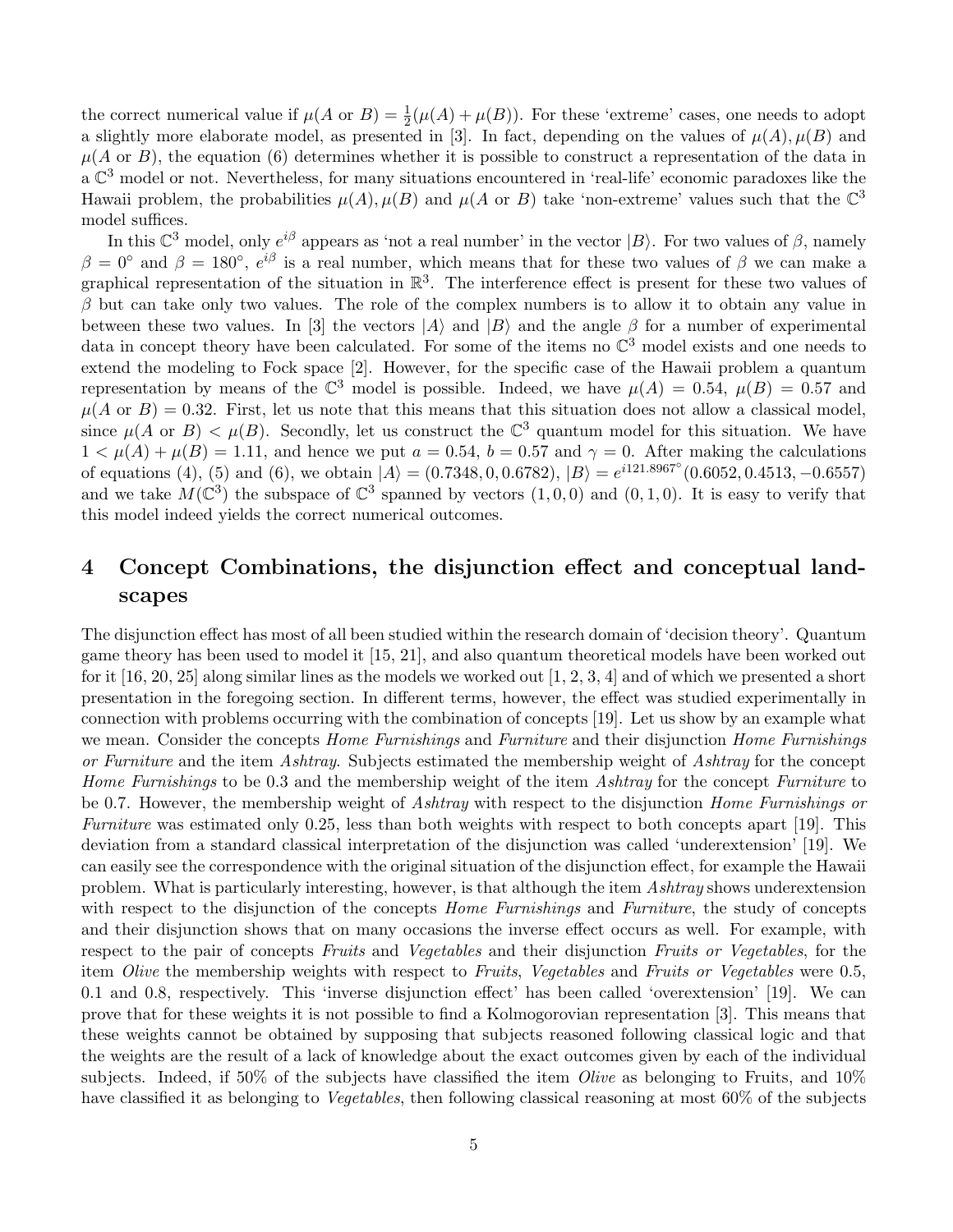the correct numerical value if  $\mu(A \text{ or } B) = \frac{1}{2}(\mu(A) + \mu(B))$ . For these 'extreme' cases, one needs to adopt a slightly more elaborate model, as presented in [3]. In fact, depending on the values of  $\mu(A), \mu(B)$  and  $\mu(A \text{ or } B)$ , the equation (6) determines whether it is possible to construct a representation of the data in  $a \mathbb{C}^3$  model or not. Nevertheless, for many situations encountered in 'real-life' economic paradoxes like the Hawaii problem, the probabilities  $\mu(A), \mu(B)$  and  $\mu(A \text{ or } B)$  take 'non-extreme' values such that the  $\mathbb{C}^3$ model suffices.

In this  $\mathbb{C}^3$  model, only  $e^{i\beta}$  appears as 'not a real number' in the vector  $|B\rangle$ . For two values of  $\beta$ , namely  $\beta = 0^{\circ}$  and  $\beta = 180^{\circ}$ ,  $e^{i\beta}$  is a real number, which means that for these two values of  $\beta$  we can make a graphical representation of the situation in  $\mathbb{R}^3$ . The interference effect is present for these two values of  $\beta$  but can take only two values. The role of the complex numbers is to allow it to obtain any value in between these two values. In [3] the vectors  $|A\rangle$  and  $|B\rangle$  and the angle  $\beta$  for a number of experimental data in concept theory have been calculated. For some of the items no  $\mathbb{C}^3$  model exists and one needs to extend the modeling to Fock space [2]. However, for the specific case of the Hawaii problem a quantum representation by means of the  $\mathbb{C}^3$  model is possible. Indeed, we have  $\mu(A) = 0.54$ ,  $\mu(B) = 0.57$  and  $\mu(A \text{ or } B) = 0.32$ . First, let us note that this means that this situation does not allow a classical model, since  $\mu(A \text{ or } B) < \mu(B)$ . Secondly, let us construct the  $\mathbb{C}^3$  quantum model for this situation. We have  $1 < \mu(A) + \mu(B) = 1.11$ , and hence we put  $a = 0.54$ ,  $b = 0.57$  and  $\gamma = 0$ . After making the calculations of equations (4), (5) and (6), we obtain  $|A\rangle = (0.7348, 0, 0.6782), |B\rangle = e^{i121.8967°}(0.6052, 0.4513, -0.6557)$ and we take  $M(\mathbb{C}^3)$  the subspace of  $\mathbb{C}^3$  spanned by vectors  $(1,0,0)$  and  $(0,1,0)$ . It is easy to verify that this model indeed yields the correct numerical outcomes.

### 4 Concept Combinations, the disjunction effect and conceptual landscapes

The disjunction effect has most of all been studied within the research domain of 'decision theory'. Quantum game theory has been used to model it [15, 21], and also quantum theoretical models have been worked out for it [16, 20, 25] along similar lines as the models we worked out [1, 2, 3, 4] and of which we presented a short presentation in the foregoing section. In different terms, however, the effect was studied experimentally in connection with problems occurring with the combination of concepts [19]. Let us show by an example what we mean. Consider the concepts *Home Furnishings* and *Furniture* and their disjunction *Home Furnishings or Furniture* and the item *Ashtray*. Subjects estimated the membership weight of *Ashtray* for the concept *Home Furnishings* to be 0.3 and the membership weight of the item *Ashtray* for the concept *Furniture* to be 0.7. However, the membership weight of *Ashtray* with respect to the disjunction *Home Furnishings or Furniture* was estimated only 0.25, less than both weights with respect to both concepts apart [19]. This deviation from a standard classical interpretation of the disjunction was called 'underextension' [19]. We can easily see the correspondence with the original situation of the disjunction effect, for example the Hawaii problem. What is particularly interesting, however, is that although the item *Ashtray* shows underextension with respect to the disjunction of the concepts *Home Furnishings* and *Furniture*, the study of concepts and their disjunction shows that on many occasions the inverse effect occurs as well. For example, with respect to the pair of concepts *Fruits* and *Vegetables* and their disjunction *Fruits or Vegetables*, for the item *Olive* the membership weights with respect to *Fruits*, *Vegetables* and *Fruits or Vegetables* were 0.5, 0.1 and 0.8, respectively. This 'inverse disjunction effect' has been called 'overextension' [19]. We can prove that for these weights it is not possible to find a Kolmogorovian representation [3]. This means that these weights cannot be obtained by supposing that subjects reasoned following classical logic and that the weights are the result of a lack of knowledge about the exact outcomes given by each of the individual subjects. Indeed, if 50% of the subjects have classified the item *Olive* as belonging to Fruits, and 10% have classified it as belonging to *Vegetables*, then following classical reasoning at most 60% of the subjects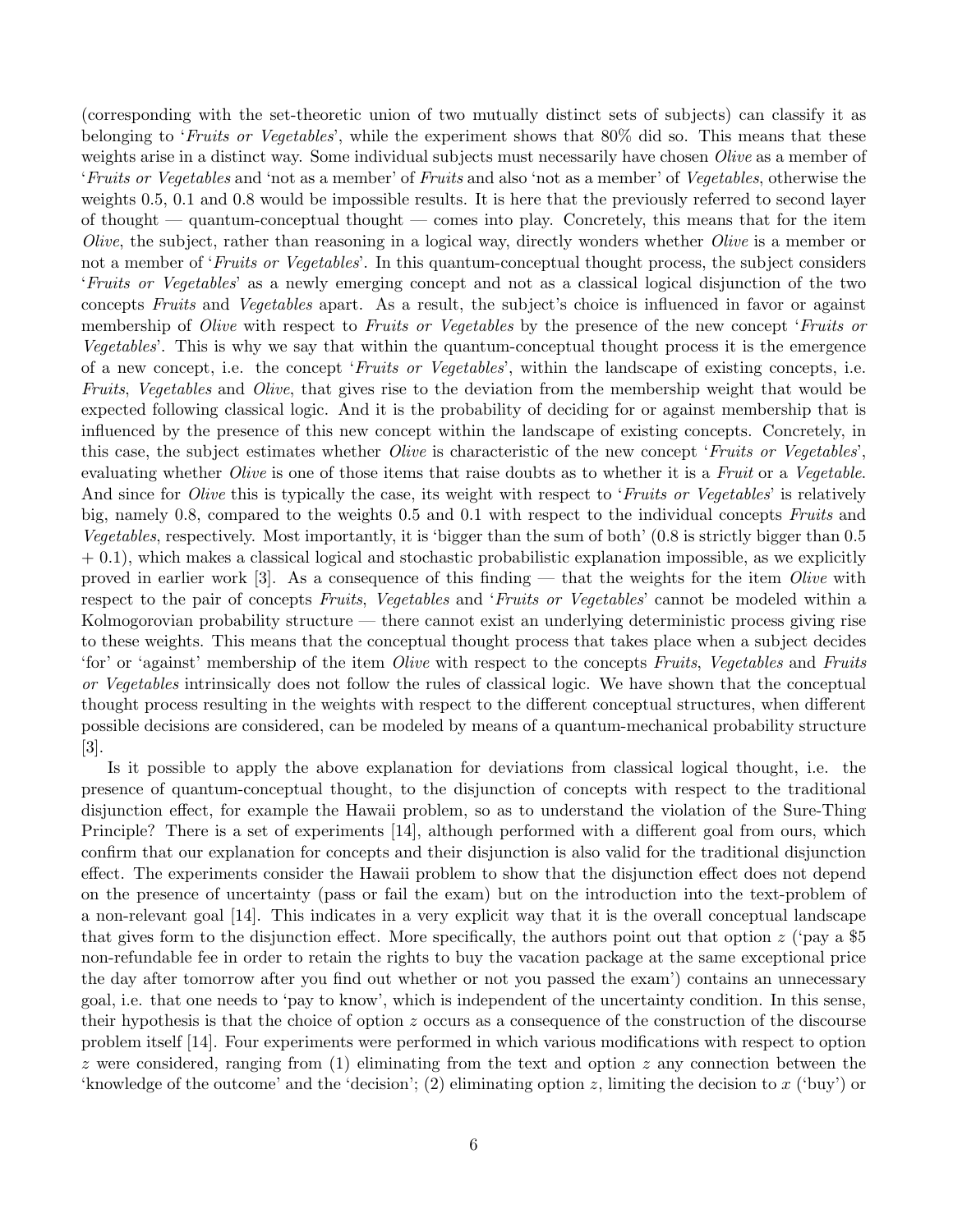(corresponding with the set-theoretic union of two mutually distinct sets of subjects) can classify it as belonging to '*Fruits or Vegetables*', while the experiment shows that 80% did so. This means that these weights arise in a distinct way. Some individual subjects must necessarily have chosen *Olive* as a member of '*Fruits or Vegetables* and 'not as a member' of *Fruits* and also 'not as a member' of *Vegetables*, otherwise the weights 0.5, 0.1 and 0.8 would be impossible results. It is here that the previously referred to second layer of thought — quantum-conceptual thought — comes into play. Concretely, this means that for the item *Olive*, the subject, rather than reasoning in a logical way, directly wonders whether *Olive* is a member or not a member of '*Fruits or Vegetables*'. In this quantum-conceptual thought process, the subject considers '*Fruits or Vegetables*' as a newly emerging concept and not as a classical logical disjunction of the two concepts *Fruits* and *Vegetables* apart. As a result, the subject's choice is influenced in favor or against membership of *Olive* with respect to *Fruits or Vegetables* by the presence of the new concept '*Fruits or Vegetables*'. This is why we say that within the quantum-conceptual thought process it is the emergence of a new concept, i.e. the concept '*Fruits or Vegetables*', within the landscape of existing concepts, i.e. *Fruits*, *Vegetables* and *Olive*, that gives rise to the deviation from the membership weight that would be expected following classical logic. And it is the probability of deciding for or against membership that is influenced by the presence of this new concept within the landscape of existing concepts. Concretely, in this case, the subject estimates whether *Olive* is characteristic of the new concept '*Fruits or Vegetables*', evaluating whether *Olive* is one of those items that raise doubts as to whether it is a *Fruit* or a *Vegetable*. And since for *Olive* this is typically the case, its weight with respect to '*Fruits or Vegetables*' is relatively big, namely 0.8, compared to the weights 0.5 and 0.1 with respect to the individual concepts *Fruits* and *Vegetables*, respectively. Most importantly, it is 'bigger than the sum of both' (0.8 is strictly bigger than 0.5  $+$  0.1), which makes a classical logical and stochastic probabilistic explanation impossible, as we explicitly proved in earlier work [3]. As a consequence of this finding — that the weights for the item *Olive* with respect to the pair of concepts *Fruits*, *Vegetables* and '*Fruits or Vegetables*' cannot be modeled within a Kolmogorovian probability structure — there cannot exist an underlying deterministic process giving rise to these weights. This means that the conceptual thought process that takes place when a subject decides 'for' or 'against' membership of the item *Olive* with respect to the concepts *Fruits*, *Vegetables* and *Fruits or Vegetables* intrinsically does not follow the rules of classical logic. We have shown that the conceptual thought process resulting in the weights with respect to the different conceptual structures, when different possible decisions are considered, can be modeled by means of a quantum-mechanical probability structure [3].

Is it possible to apply the above explanation for deviations from classical logical thought, i.e. the presence of quantum-conceptual thought, to the disjunction of concepts with respect to the traditional disjunction effect, for example the Hawaii problem, so as to understand the violation of the Sure-Thing Principle? There is a set of experiments [14], although performed with a different goal from ours, which confirm that our explanation for concepts and their disjunction is also valid for the traditional disjunction effect. The experiments consider the Hawaii problem to show that the disjunction effect does not depend on the presence of uncertainty (pass or fail the exam) but on the introduction into the text-problem of a non-relevant goal [14]. This indicates in a very explicit way that it is the overall conceptual landscape that gives form to the disjunction effect. More specifically, the authors point out that option  $z$  ('pay a \$5 non-refundable fee in order to retain the rights to buy the vacation package at the same exceptional price the day after tomorrow after you find out whether or not you passed the exam') contains an unnecessary goal, i.e. that one needs to 'pay to know', which is independent of the uncertainty condition. In this sense, their hypothesis is that the choice of option z occurs as a consequence of the construction of the discourse problem itself [14]. Four experiments were performed in which various modifications with respect to option z were considered, ranging from  $(1)$  eliminating from the text and option z any connection between the 'knowledge of the outcome' and the 'decision'; (2) eliminating option z, limiting the decision to x ('buy') or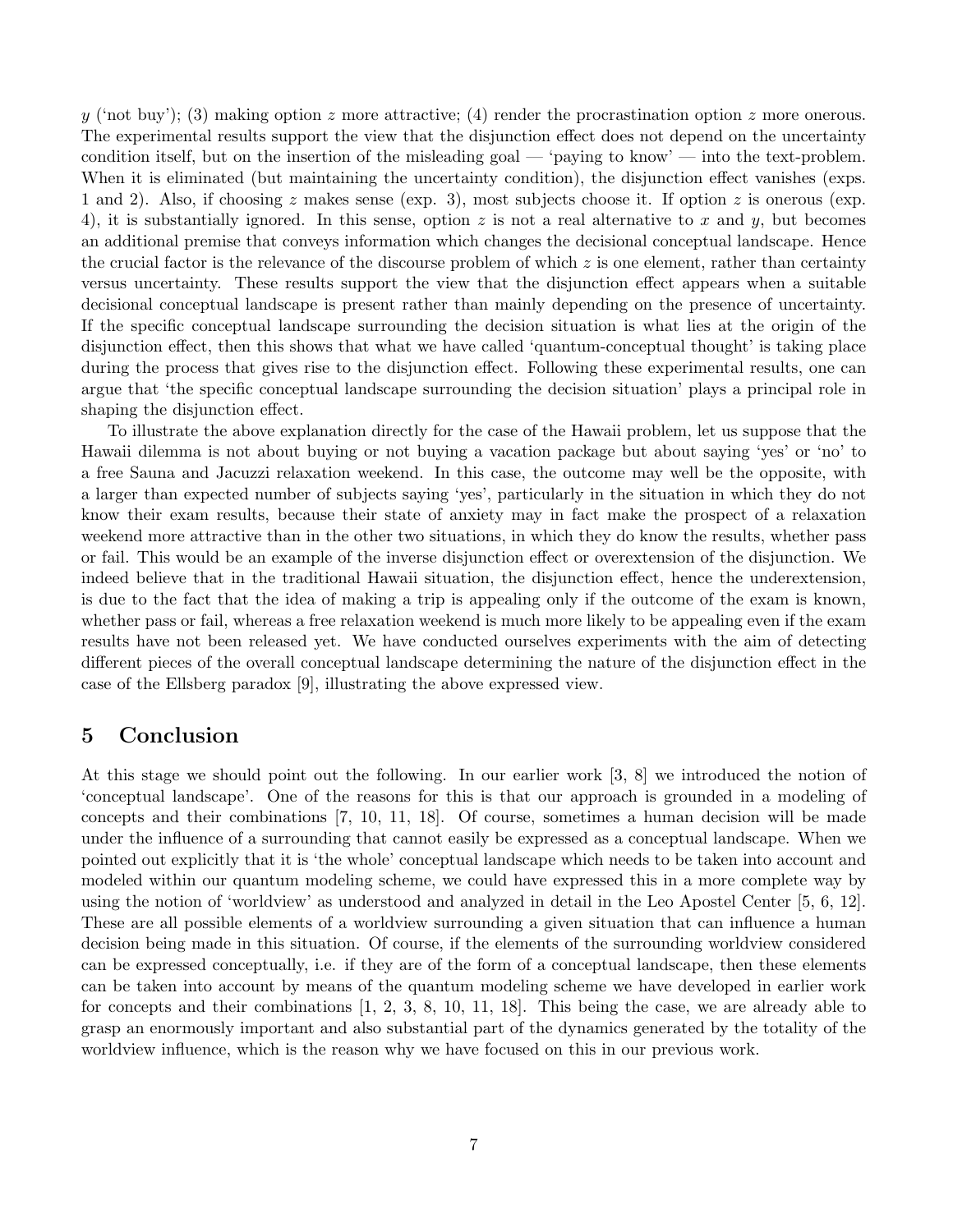y ('not buy'); (3) making option z more attractive; (4) render the procrastination option z more onerous. The experimental results support the view that the disjunction effect does not depend on the uncertainty condition itself, but on the insertion of the misleading goal — 'paying to know' — into the text-problem. When it is eliminated (but maintaining the uncertainty condition), the disjunction effect vanishes (exps. 1 and 2). Also, if choosing z makes sense (exp. 3), most subjects choose it. If option z is onerous (exp. 4), it is substantially ignored. In this sense, option z is not a real alternative to x and y, but becomes an additional premise that conveys information which changes the decisional conceptual landscape. Hence the crucial factor is the relevance of the discourse problem of which  $z$  is one element, rather than certainty versus uncertainty. These results support the view that the disjunction effect appears when a suitable decisional conceptual landscape is present rather than mainly depending on the presence of uncertainty. If the specific conceptual landscape surrounding the decision situation is what lies at the origin of the disjunction effect, then this shows that what we have called 'quantum-conceptual thought' is taking place during the process that gives rise to the disjunction effect. Following these experimental results, one can argue that 'the specific conceptual landscape surrounding the decision situation' plays a principal role in shaping the disjunction effect.

To illustrate the above explanation directly for the case of the Hawaii problem, let us suppose that the Hawaii dilemma is not about buying or not buying a vacation package but about saying 'yes' or 'no' to a free Sauna and Jacuzzi relaxation weekend. In this case, the outcome may well be the opposite, with a larger than expected number of subjects saying 'yes', particularly in the situation in which they do not know their exam results, because their state of anxiety may in fact make the prospect of a relaxation weekend more attractive than in the other two situations, in which they do know the results, whether pass or fail. This would be an example of the inverse disjunction effect or overextension of the disjunction. We indeed believe that in the traditional Hawaii situation, the disjunction effect, hence the underextension, is due to the fact that the idea of making a trip is appealing only if the outcome of the exam is known, whether pass or fail, whereas a free relaxation weekend is much more likely to be appealing even if the exam results have not been released yet. We have conducted ourselves experiments with the aim of detecting different pieces of the overall conceptual landscape determining the nature of the disjunction effect in the case of the Ellsberg paradox [9], illustrating the above expressed view.

#### 5 Conclusion

At this stage we should point out the following. In our earlier work [3, 8] we introduced the notion of 'conceptual landscape'. One of the reasons for this is that our approach is grounded in a modeling of concepts and their combinations [7, 10, 11, 18]. Of course, sometimes a human decision will be made under the influence of a surrounding that cannot easily be expressed as a conceptual landscape. When we pointed out explicitly that it is 'the whole' conceptual landscape which needs to be taken into account and modeled within our quantum modeling scheme, we could have expressed this in a more complete way by using the notion of 'worldview' as understood and analyzed in detail in the Leo Apostel Center [5, 6, 12]. These are all possible elements of a worldview surrounding a given situation that can influence a human decision being made in this situation. Of course, if the elements of the surrounding worldview considered can be expressed conceptually, i.e. if they are of the form of a conceptual landscape, then these elements can be taken into account by means of the quantum modeling scheme we have developed in earlier work for concepts and their combinations [1, 2, 3, 8, 10, 11, 18]. This being the case, we are already able to grasp an enormously important and also substantial part of the dynamics generated by the totality of the worldview influence, which is the reason why we have focused on this in our previous work.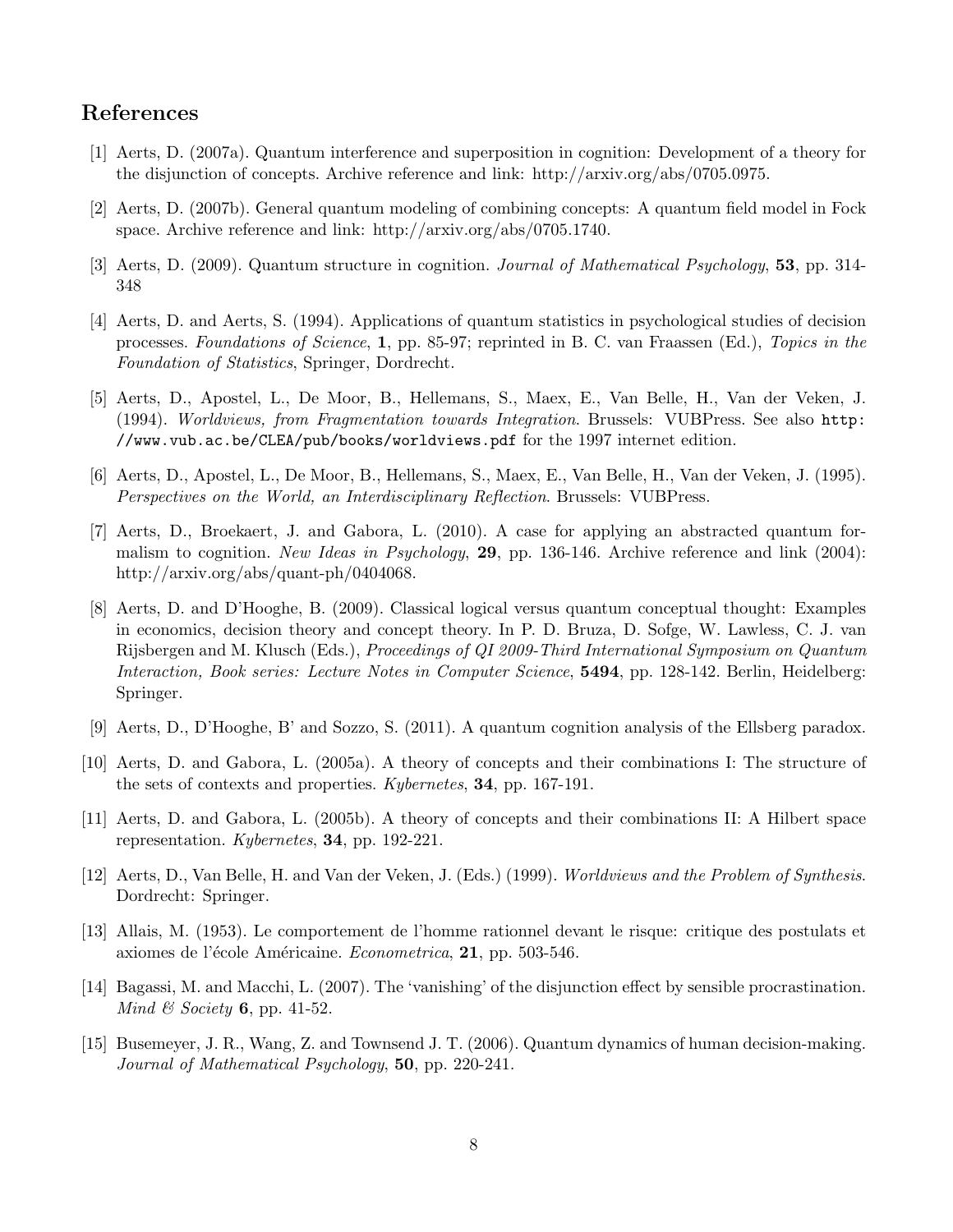#### References

- [1] Aerts, D. (2007a). Quantum interference and superposition in cognition: Development of a theory for the disjunction of concepts. Archive reference and link: http://arxiv.org/abs/0705.0975.
- [2] Aerts, D. (2007b). General quantum modeling of combining concepts: A quantum field model in Fock space. Archive reference and link: http://arxiv.org/abs/0705.1740.
- [3] Aerts, D. (2009). Quantum structure in cognition. *Journal of Mathematical Psychology*, 53, pp. 314- 348
- [4] Aerts, D. and Aerts, S. (1994). Applications of quantum statistics in psychological studies of decision processes. *Foundations of Science*, 1, pp. 85-97; reprinted in B. C. van Fraassen (Ed.), *Topics in the Foundation of Statistics*, Springer, Dordrecht.
- [5] Aerts, D., Apostel, L., De Moor, B., Hellemans, S., Maex, E., Van Belle, H., Van der Veken, J. (1994). *Worldviews, from Fragmentation towards Integration*. Brussels: VUBPress. See also http: //www.vub.ac.be/CLEA/pub/books/worldviews.pdf for the 1997 internet edition.
- [6] Aerts, D., Apostel, L., De Moor, B., Hellemans, S., Maex, E., Van Belle, H., Van der Veken, J. (1995). *Perspectives on the World, an Interdisciplinary Reflection*. Brussels: VUBPress.
- [7] Aerts, D., Broekaert, J. and Gabora, L. (2010). A case for applying an abstracted quantum formalism to cognition. *New Ideas in Psychology*, 29, pp. 136-146. Archive reference and link (2004): http://arxiv.org/abs/quant-ph/0404068.
- [8] Aerts, D. and D'Hooghe, B. (2009). Classical logical versus quantum conceptual thought: Examples in economics, decision theory and concept theory. In P. D. Bruza, D. Sofge, W. Lawless, C. J. van Rijsbergen and M. Klusch (Eds.), *Proceedings of QI 2009-Third International Symposium on Quantum Interaction, Book series: Lecture Notes in Computer Science*, 5494, pp. 128-142. Berlin, Heidelberg: Springer.
- [9] Aerts, D., D'Hooghe, B' and Sozzo, S. (2011). A quantum cognition analysis of the Ellsberg paradox.
- [10] Aerts, D. and Gabora, L. (2005a). A theory of concepts and their combinations I: The structure of the sets of contexts and properties. *Kybernetes*, 34, pp. 167-191.
- [11] Aerts, D. and Gabora, L. (2005b). A theory of concepts and their combinations II: A Hilbert space representation. *Kybernetes*, 34, pp. 192-221.
- [12] Aerts, D., Van Belle, H. and Van der Veken, J. (Eds.) (1999). *Worldviews and the Problem of Synthesis*. Dordrecht: Springer.
- [13] Allais, M. (1953). Le comportement de l'homme rationnel devant le risque: critique des postulats et axiomes de l'école Américaine. *Econometrica*, 21, pp. 503-546.
- [14] Bagassi, M. and Macchi, L. (2007). The 'vanishing' of the disjunction effect by sensible procrastination. *Mind & Society* 6, pp. 41-52.
- [15] Busemeyer, J. R., Wang, Z. and Townsend J. T. (2006). Quantum dynamics of human decision-making. *Journal of Mathematical Psychology*, 50, pp. 220-241.